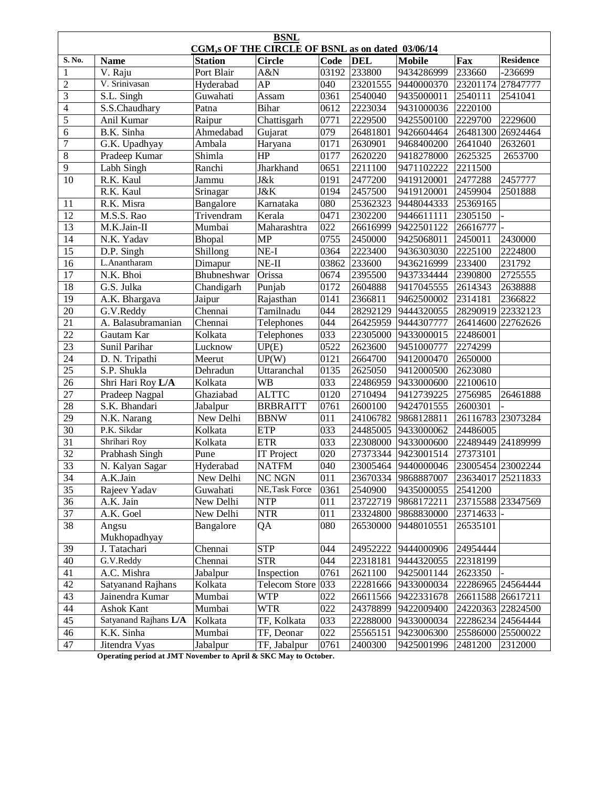| <b>BSNL</b><br>CGM,s OF THE CIRCLE OF BSNL as on dated 03/06/14 |                                                                |                |                      |             |            |                     |                   |                   |  |  |  |
|-----------------------------------------------------------------|----------------------------------------------------------------|----------------|----------------------|-------------|------------|---------------------|-------------------|-------------------|--|--|--|
| S. No.                                                          | <b>Name</b>                                                    | <b>Station</b> | <b>Circle</b>        | <b>Code</b> | <b>DEL</b> | <b>Mobile</b>       | Fax               | <b>Residence</b>  |  |  |  |
| $\mathbf{1}$                                                    | V. Raju                                                        | Port Blair     | A&N                  | 03192       | 233800     | 9434286999          | 233660            | -236699           |  |  |  |
| $\overline{c}$                                                  | V. Srinivasan                                                  | Hyderabad      | AP                   | 040         | 23201555   | 9440000370          | 23201174 27847777 |                   |  |  |  |
| $\overline{3}$                                                  | S.L. Singh                                                     | Guwahati       | Assam                | 0361        | 2540040    | 9435000011          | 2540111           | 2541041           |  |  |  |
| $\overline{\mathbf{4}}$                                         | S.S.Chaudhary                                                  | Patna          | <b>Bihar</b>         | 0612        | 2223034    | 9431000036          | 2220100           |                   |  |  |  |
| 5                                                               | Anil Kumar                                                     | Raipur         | Chattisgarh          | 0771        | 2229500    | 9425500100          | 2229700           | 2229600           |  |  |  |
| 6                                                               | B.K. Sinha                                                     | Ahmedabad      | Gujarat              | 079         | 26481801   | 9426604464          | 26481300          | 26924464          |  |  |  |
| $\overline{7}$                                                  | G.K. Upadhyay                                                  | Ambala         | Haryana              | 0171        | 2630901    | 9468400200          | 2641040           | 2632601           |  |  |  |
| $\overline{8}$                                                  | Pradeep Kumar                                                  | Shimla         | HP                   | 0177        | 2620220    | 9418278000          | 2625325           | 2653700           |  |  |  |
| $\overline{9}$                                                  | Labh Singh                                                     | Ranchi         | Jharkhand            | 0651        | 2211100    | 9471102222          | 2211500           |                   |  |  |  |
| $\overline{10}$                                                 | R.K. Kaul                                                      | Jammu          | <b>J</b> &k          | 0191        | 2477200    | 9419120001          | 2477288           | 2457777           |  |  |  |
|                                                                 | R.K. Kaul                                                      | Srinagar       | <b>J&amp;K</b>       | 0194        | 2457500    | 9419120001          | 2459904           | 2501888           |  |  |  |
| 11                                                              | R.K. Misra                                                     | Bangalore      | Karnataka            | 080         | 25362323   | 9448044333          | 25369165          |                   |  |  |  |
| 12                                                              | M.S.S. Rao                                                     | Trivendram     | Kerala               | 0471        | 2302200    | 9446611111          | 2305150           |                   |  |  |  |
| 13                                                              | M.K.Jain-II                                                    | Mumbai         | Maharashtra          | 022         | 26616999   | 9422501122          | 26616777          |                   |  |  |  |
| 14                                                              | N.K. Yadav                                                     | Bhopal         | <b>MP</b>            | 0755        | 2450000    | 9425068011          | 2450011           | 2430000           |  |  |  |
| 15                                                              | D.P. Singh                                                     | Shillong       | $NE-I$               | 0364        | 2223400    | 9436303030          | 2225100           | 2224800           |  |  |  |
| 16                                                              | L.Anantharam                                                   | Dimapur        | $NE-II$              | 03862       | 233600     | 9436216999          | 233400            | 231792            |  |  |  |
| 17                                                              | N.K. Bhoi                                                      | Bhubneshwar    | Orissa               | 0674        | 2395500    | 9437334444          | 2390800           | 2725555           |  |  |  |
| 18                                                              | G.S. Julka                                                     | Chandigarh     | Punjab               | 0172        | 2604888    | 9417045555          | 2614343           | 2638888           |  |  |  |
| 19                                                              | A.K. Bhargava                                                  | Jaipur         | Rajasthan            | 0141        | 2366811    | 9462500002          | 2314181           | 2366822           |  |  |  |
| 20                                                              | G.V.Reddy                                                      | Chennai        | Tamilnadu            | 044         | 28292129   | 9444320055          | 28290919 22332123 |                   |  |  |  |
| $\overline{21}$                                                 | A. Balasubramanian                                             | Chennai        | Telephones           | 044         | 26425959   | 9444307777          |                   | 26414600 22762626 |  |  |  |
| $\overline{22}$                                                 | Gautam Kar                                                     | Kolkata        | Telephones           | 033         | 22305000   | 9433000015          | 22486001          |                   |  |  |  |
| $\overline{23}$                                                 | Sunil Parihar                                                  | Lucknow        | UP(E)                | 0522        | 2623600    | 9451000777          | 2274299           |                   |  |  |  |
| 24                                                              | D. N. Tripathi                                                 | Meerut         | UP(W)                | 0121        | 2664700    | 9412000470          | 2650000           |                   |  |  |  |
| $\overline{25}$                                                 | S.P. Shukla                                                    | Dehradun       | Uttaranchal          | 0135        | 2625050    | 9412000500          | 2623080           |                   |  |  |  |
| 26                                                              | Shri Hari Roy L/A                                              | Kolkata        | <b>WB</b>            | 033         | 22486959   | 9433000600          | 22100610          |                   |  |  |  |
| $\overline{27}$                                                 | Pradeep Nagpal                                                 | Ghaziabad      | <b>ALTTC</b>         | 0120        | 2710494    | 9412739225          | 2756985           | 26461888          |  |  |  |
| 28                                                              | S.K. Bhandari                                                  | Jabalpur       | <b>BRBRAITT</b>      | 0761        | 2600100    | 9424701555          | 2600301           |                   |  |  |  |
| 29                                                              | N.K. Narang                                                    | New Delhi      | <b>BBNW</b>          | 011         | 24106782   | 9868128811          | 26116783 23073284 |                   |  |  |  |
| $\overline{30}$                                                 | P.K. Sikdar                                                    | Kolkata        | <b>ETP</b>           | 033         | 24485005   | 9433000062          | 24486005          |                   |  |  |  |
| $\overline{31}$                                                 | Shrihari Roy                                                   | Kolkata        | <b>ETR</b>           | 033         | 22308000   | 9433000600          | 22489449 24189999 |                   |  |  |  |
| $\overline{32}$                                                 | Prabhash Singh                                                 | Pune           | <b>IT Project</b>    | 020         | 27373344   | 9423001514          | 27373101          |                   |  |  |  |
| $\overline{33}$                                                 | N. Kalyan Sagar                                                | Hyderabad      | <b>NATFM</b>         | 040         | 23005464   | 9440000046          | 23005454 23002244 |                   |  |  |  |
| 34                                                              | A.K.Jain                                                       | New Delhi      | <b>NC NGN</b>        | 011         |            | 23670334 9868887007 | 23634017 25211833 |                   |  |  |  |
| 35                                                              | Rajeev Yadav                                                   | Guwahati       | NE, Task Force       | 0361        | 2540900    | 9435000055          | 2541200           |                   |  |  |  |
| 36                                                              | A.K. Jain                                                      | New Delhi      | <b>NTP</b>           | 011         | 23722719   | 9868172211          |                   | 23715588 23347569 |  |  |  |
| 37                                                              | A.K. Goel                                                      | New Delhi      | <b>NTR</b>           | 011         | 23324800   | 9868830000          | 23714633          |                   |  |  |  |
| 38                                                              | Angsu<br>Mukhopadhyay                                          | Bangalore      | QA                   | 080         | 26530000   | 9448010551          | 26535101          |                   |  |  |  |
| 39                                                              | J. Tatachari                                                   | Chennai        | <b>STP</b>           | 044         | 24952222   | 9444000906          | 24954444          |                   |  |  |  |
| 40                                                              | G.V.Reddy                                                      | Chennai        | <b>STR</b>           | 044         | 22318181   | 9444320055          | 22318199          |                   |  |  |  |
| 41                                                              | A.C. Mishra                                                    | Jabalpur       | Inspection           | 0761        | 2621100    | 9425001144          | 2623350           |                   |  |  |  |
| 42                                                              | <b>Satyanand Rajhans</b>                                       | Kolkata        | <b>Telecom Store</b> | 033         | 22281666   | 9433000034          | 22286965 24564444 |                   |  |  |  |
| 43                                                              | Jainendra Kumar                                                | Mumbai         | <b>WTP</b>           | 022         | 26611566   | 9422331678          | 26611588 26617211 |                   |  |  |  |
| 44                                                              | Ashok Kant                                                     | Mumbai         | <b>WTR</b>           | 022         | 24378899   | 9422009400          |                   | 24220363 22824500 |  |  |  |
| 45                                                              | Satyanand Rajhans L/A                                          | Kolkata        | TF, Kolkata          | 033         | 22288000   | 9433000034          |                   | 22286234 24564444 |  |  |  |
| 46                                                              | K.K. Sinha                                                     | Mumbai         | TF, Deonar           | 022         | 25565151   | 9423006300          |                   | 25586000 25500022 |  |  |  |
| 47                                                              | Jitendra Vyas                                                  | Jabalpur       | TF, Jabalpur         | 0761        | 2400300    | 9425001996          | 2481200           | 2312000           |  |  |  |
|                                                                 | Openating period at IMT Nevember to April & SKC Mov to October |                |                      |             |            |                     |                   |                   |  |  |  |

 **Operating period at JMT November to April & SKC May to October.**